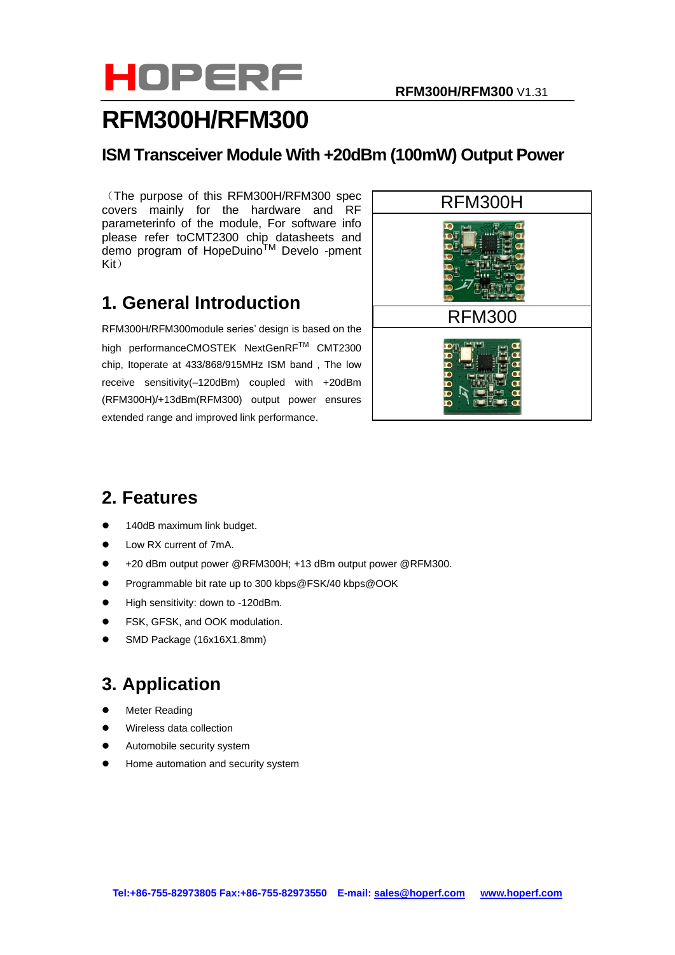

# **RFM300H/RFM300**

### **ISM Transceiver Module With +20dBm (100mW) Output Power**

(The purpose of this RFM300H/RFM300 spec covers mainly for the hardware and RF parameterinfo of the module, For software info please refer t[oCMT2300 chip datasheets](http://www.hoperf.com/rf_fsk/rf50.htm) and demo program of HopeDuino<sup>TM</sup> Develo -pment Kit)

## **1. General Introduction**

RFM300H/RFM300module series' design is based on the high performanceCMOSTEK NextGenRF™ CMT2300 chip, Itoperate at 433/868/915MHz ISM band , The low receive sensitivity(–120dBm) coupled with +20dBm (RFM300H)/+13dBm(RFM300) output power ensures extended range and improved link performance.



# **2. Features**

- 140dB maximum link budget.
- Low RX current of 7mA.
- ⚫ +20 dBm output power @RFM300H; +13 dBm output power @RFM300.
- ⚫ Programmable bit rate up to 300 kbps@FSK/40 kbps@OOK
- High sensitivity: down to -120dBm.
- FSK, GFSK, and OOK modulation.
- ⚫ SMD Package (16x16X1.8mm)

# **3. Application**

- Meter Reading
- ⚫ Wireless data collection
- ⚫ Automobile security system
- ⚫ Home automation and security system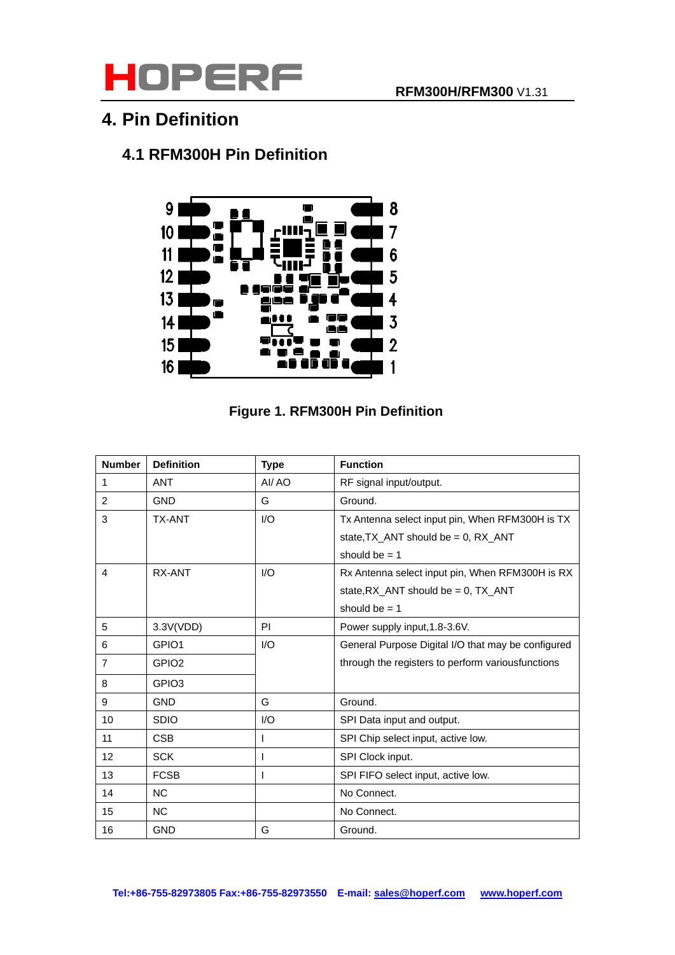

## **4. Pin Definition**

## **4.1 RFM300H Pin Definition**



### **Figure 1. RFM300H Pin Definition**

| <b>Number</b>  | <b>Definition</b> | <b>Type</b>  | <b>Function</b>                                    |
|----------------|-------------------|--------------|----------------------------------------------------|
| 1              | <b>ANT</b>        | AI/AO        | RF signal input/output.                            |
| 2              | <b>GND</b>        | G            | Ground.                                            |
| 3              | <b>TX-ANT</b>     | 1/O          | Tx Antenna select input pin, When RFM300H is TX    |
|                |                   |              | state, TX_ANT should be = 0, RX_ANT                |
|                |                   |              | should be $= 1$                                    |
| 4              | RX-ANT            | 1/O          | Rx Antenna select input pin, When RFM300H is RX    |
|                |                   |              | state, $RX$ _ANT should be = 0, $TX$ _ANT          |
|                |                   |              | should be $= 1$                                    |
| 5              | 3.3V(VDD)         | PI           | Power supply input, 1.8-3.6V.                      |
| 6              | GPIO1             | 1/O          | General Purpose Digital I/O that may be configured |
| $\overline{7}$ | GPIO <sub>2</sub> |              | through the registers to perform various functions |
| 8              | GPIO <sub>3</sub> |              |                                                    |
| 9              | <b>GND</b>        | G            | Ground.                                            |
| 10             | <b>SDIO</b>       | 1/O          | SPI Data input and output.                         |
| 11             | <b>CSB</b>        |              | SPI Chip select input, active low.                 |
| 12             | <b>SCK</b>        |              | SPI Clock input.                                   |
| 13             | <b>FCSB</b>       | $\mathbf{I}$ | SPI FIFO select input, active low.                 |
| 14             | <b>NC</b>         |              | No Connect.                                        |
| 15             | <b>NC</b>         |              | No Connect.                                        |
| 16             | <b>GND</b>        | G            | Ground.                                            |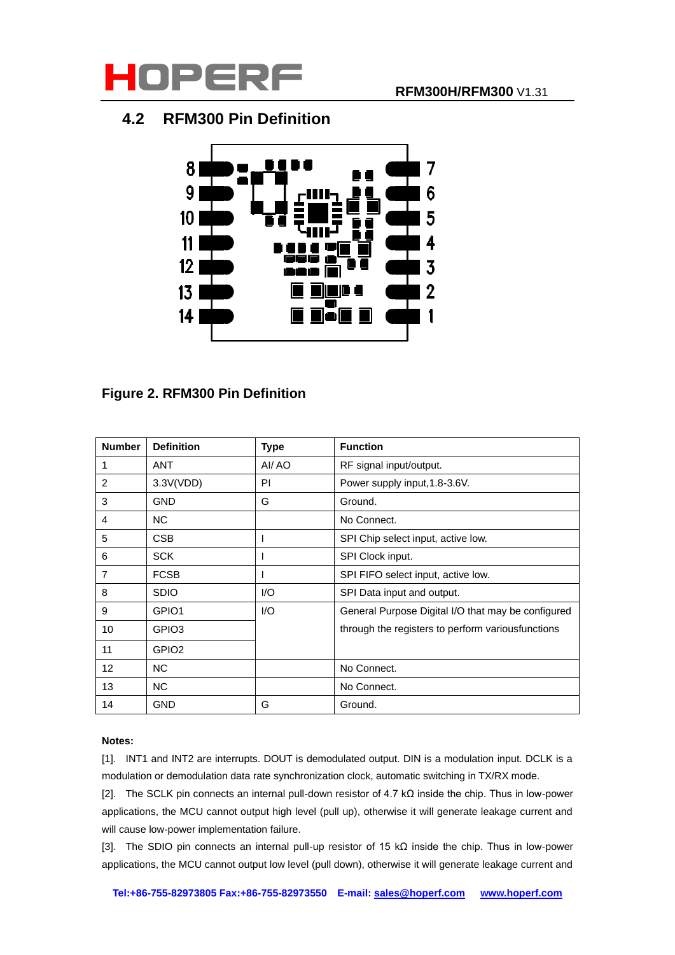

### **4.2 RFM300 Pin Definition**



### **Figure 2. RFM300 Pin Definition**

| <b>Number</b>  | <b>Definition</b> | <b>Type</b> | <b>Function</b>                                    |
|----------------|-------------------|-------------|----------------------------------------------------|
|                | <b>ANT</b>        | AI/AO       | RF signal input/output.                            |
| $\overline{2}$ | 3.3V(VDD)         | <b>PI</b>   | Power supply input, 1.8-3.6V.                      |
| 3              | <b>GND</b>        | G           | Ground.                                            |
| 4              | <b>NC</b>         |             | No Connect.                                        |
| 5              | <b>CSB</b>        |             | SPI Chip select input, active low.                 |
| 6              | <b>SCK</b>        |             | SPI Clock input.                                   |
| 7              | <b>FCSB</b>       |             | SPI FIFO select input, active low.                 |
| 8              | <b>SDIO</b>       | 1/O         | SPI Data input and output.                         |
| 9              | GPIO1             | 1/O         | General Purpose Digital I/O that may be configured |
| 10             | GPIO <sub>3</sub> |             | through the registers to perform various functions |
| 11             | GPIO <sub>2</sub> |             |                                                    |
| 12             | <b>NC</b>         |             | No Connect.                                        |
| 13             | <b>NC</b>         |             | No Connect.                                        |
| 14             | <b>GND</b>        | G           | Ground.                                            |

### **Notes:**

[1]. INT1 and INT2 are interrupts. DOUT is demodulated output. DIN is a modulation input. DCLK is a modulation or demodulation data rate synchronization clock, automatic switching in TX/RX mode.

[2]. The SCLK pin connects an internal pull-down resistor of 4.7 kΩ inside the chip. Thus in low-power applications, the MCU cannot output high level (pull up), otherwise it will generate leakage current and will cause low-power implementation failure.

[3]. The SDIO pin connects an internal pull-up resistor of 15 kΩ inside the chip. Thus in low-power applications, the MCU cannot output low level (pull down), otherwise it will generate leakage current and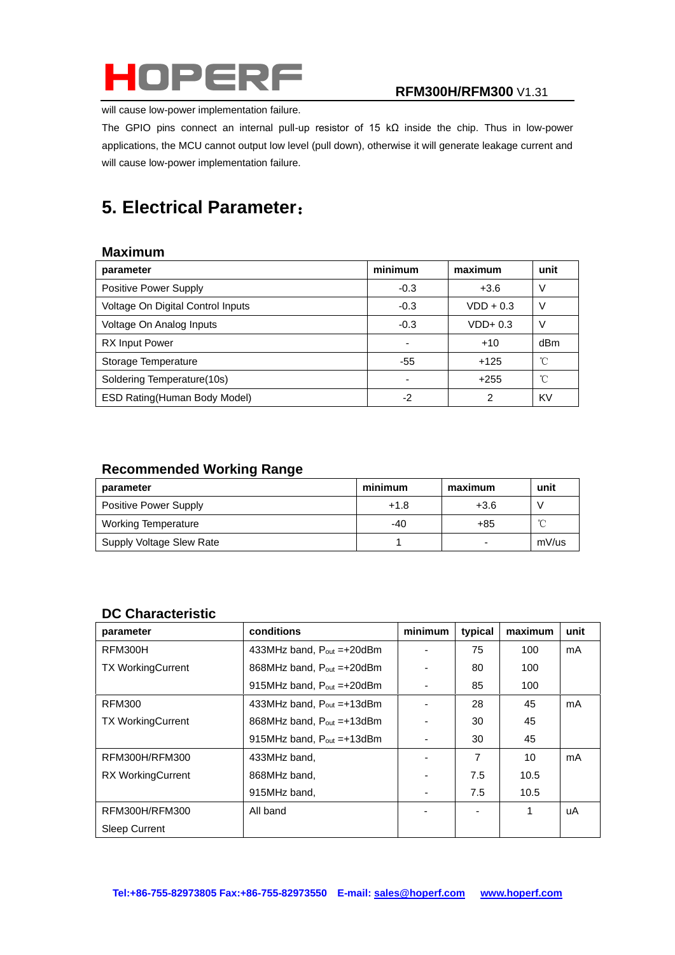

will cause low-power implementation failure.

The GPIO pins connect an internal pull-up resistor of 15 kΩ inside the chip. Thus in low-power applications, the MCU cannot output low level (pull down), otherwise it will generate leakage current and will cause low-power implementation failure.

# **5. Electrical Parameter**:

### **Maximum**

| parameter                         | minimum | maximum     | unit |
|-----------------------------------|---------|-------------|------|
| Positive Power Supply             | $-0.3$  | $+3.6$      |      |
| Voltage On Digital Control Inputs | $-0.3$  | $VDD + 0.3$ | V    |
| Voltage On Analog Inputs          | $-0.3$  | $VDD+0.3$   |      |
| <b>RX Input Power</b>             |         | $+10$       | dBm  |
| Storage Temperature               | -55     | $+125$      | °C   |
| Soldering Temperature(10s)        |         | $+255$      | °C   |
| ESD Rating (Human Body Model)     | -2      | 2           | KV   |

### **Recommended Working Range**

| parameter                    | minimum | maximum                  | unit   |
|------------------------------|---------|--------------------------|--------|
| <b>Positive Power Supply</b> | $+1.8$  | $+3.6$                   |        |
| <b>Working Temperature</b>   | -40     | +85                      | $\sim$ |
| Supply Voltage Slew Rate     |         | $\overline{\phantom{0}}$ | mV/us  |

### **DC Characteristic**

| parameter                | conditions                       | minimum | typical | maximum | unit |
|--------------------------|----------------------------------|---------|---------|---------|------|
| RFM300H                  | 433MHz band, $P_{out} = +20$ dBm |         | 75      | 100     | mA   |
| <b>TX WorkingCurrent</b> | 868MHz band, $P_{out} = +20$ dBm |         | 80      | 100     |      |
|                          | 915MHz band, $P_{out} = +20$ dBm |         | 85      | 100     |      |
| <b>RFM300</b>            | 433MHz band, $P_{out} = +13dBm$  |         | 28      | 45      | mA   |
| <b>TX WorkingCurrent</b> | 868MHz band, $P_{out} = +13dBm$  |         | 30      | 45      |      |
|                          | 915MHz band, $P_{out} = +13dBm$  |         | 30      | 45      |      |
| RFM300H/RFM300           | 433MHz band,                     |         | 7       | 10      | mA   |
| <b>RX WorkingCurrent</b> | 868MHz band,                     |         | 7.5     | 10.5    |      |
|                          | 915MHz band,                     |         | 7.5     | 10.5    |      |
| RFM300H/RFM300           | All band                         |         | ٠       | 1       | uA   |
| <b>Sleep Current</b>     |                                  |         |         |         |      |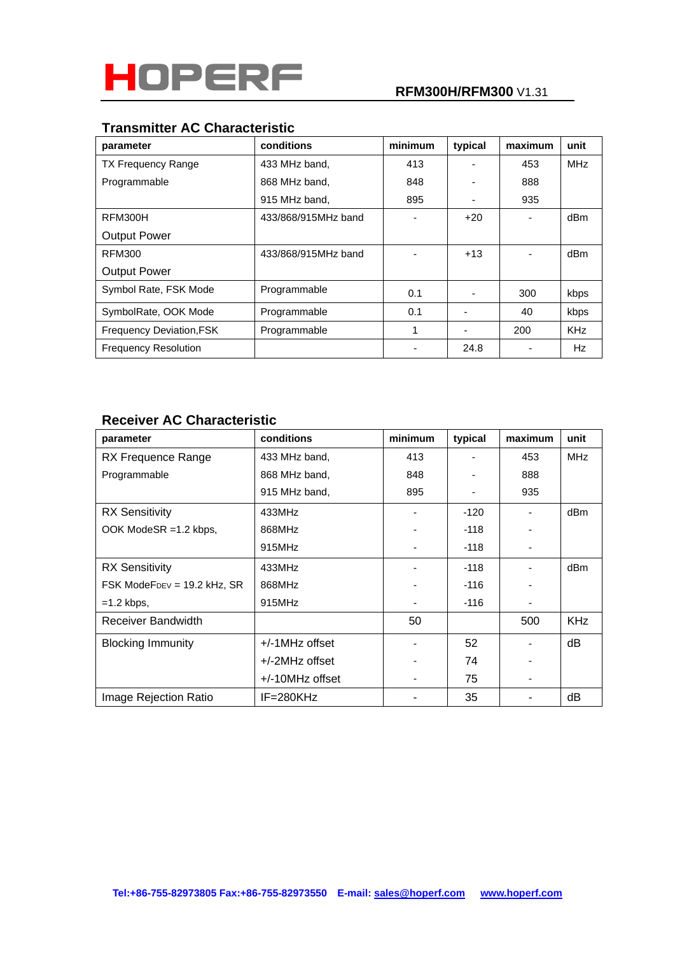

### **Transmitter AC Characteristic**

| parameter                       | conditions          | minimum | typical | maximum                  | unit       |
|---------------------------------|---------------------|---------|---------|--------------------------|------------|
| <b>TX Frequency Range</b>       | 433 MHz band,       | 413     |         | 453                      | <b>MHz</b> |
| Programmable                    | 868 MHz band,       | 848     |         | 888                      |            |
|                                 | 915 MHz band,       | 895     |         | 935                      |            |
| RFM300H                         | 433/868/915MHz band |         | $+20$   | $\overline{\phantom{a}}$ | dBm        |
| <b>Output Power</b>             |                     |         |         |                          |            |
| RFM300                          | 433/868/915MHz band |         | $+13$   |                          | dBm        |
| <b>Output Power</b>             |                     |         |         |                          |            |
| Symbol Rate, FSK Mode           | Programmable        | 0.1     |         | 300                      | kbps       |
| SymbolRate, OOK Mode            | Programmable        | 0.1     |         | 40                       | kbps       |
| <b>Frequency Deviation, FSK</b> | Programmable        | 1       |         | 200                      | <b>KHz</b> |
| <b>Frequency Resolution</b>     |                     |         | 24.8    |                          | Hz         |

### **Receiver AC Characteristic**

| parameter                   | conditions      | minimum | typical | maximum | unit       |
|-----------------------------|-----------------|---------|---------|---------|------------|
| RX Frequence Range          | 433 MHz band,   | 413     |         | 453     | MHz        |
| Programmable                | 868 MHz band,   | 848     |         | 888     |            |
|                             | 915 MHz band,   | 895     |         | 935     |            |
| <b>RX Sensitivity</b>       | 433MHz          |         | $-120$  |         | dBm        |
| OOK ModeSR =1.2 kbps,       | 868MHz          |         | $-118$  |         |            |
|                             | 915MHz          |         | $-118$  |         |            |
| <b>RX</b> Sensitivity       | 433MHz          |         | $-118$  |         | dBm        |
| FSK ModeFDEV = 19.2 kHz, SR | 868MHz          |         | $-116$  |         |            |
| $=1.2$ kbps,                | 915MHz          |         | $-116$  |         |            |
| Receiver Bandwidth          |                 | 50      |         | 500     | <b>KHz</b> |
| <b>Blocking Immunity</b>    | +/-1MHz offset  |         | 52      |         | dB         |
|                             | +/-2MHz offset  |         | 74      |         |            |
|                             | +/-10MHz offset |         | 75      |         |            |
| Image Rejection Ratio       | IF=280KHz       |         | 35      |         | dВ         |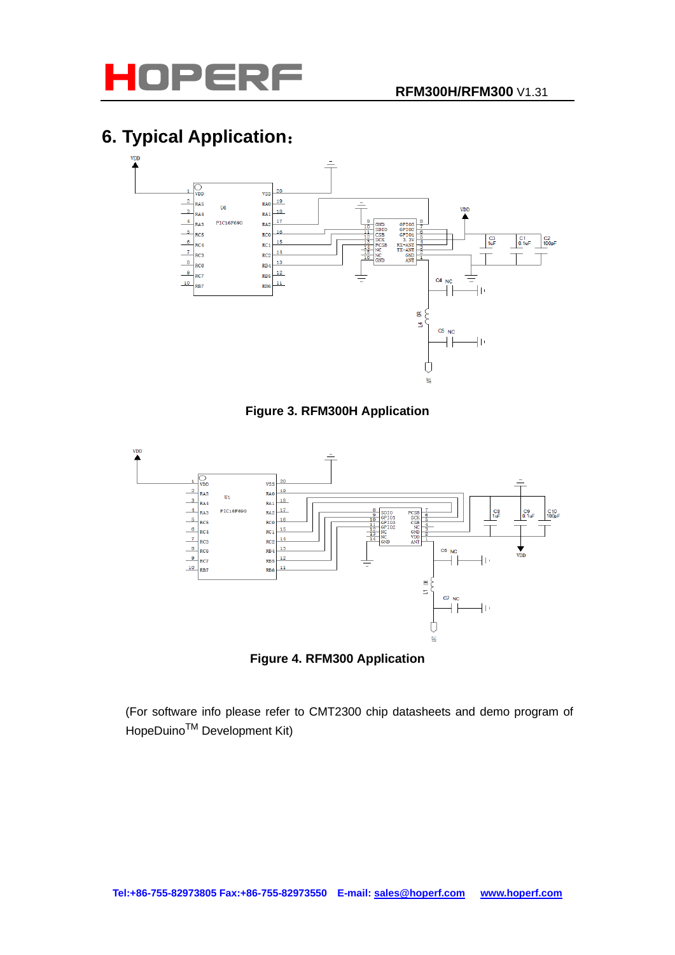

# **6. Typical Application**:



**Figure 3. RFM300H Application**



**Figure 4. RFM300 Application**

 (For software info please refer to [CMT2300 chip datasheets](http://www.hoperf.com/rf_fsk/rf50.htm) and demo program of HopeDuino<sup>™</sup> Development Kit)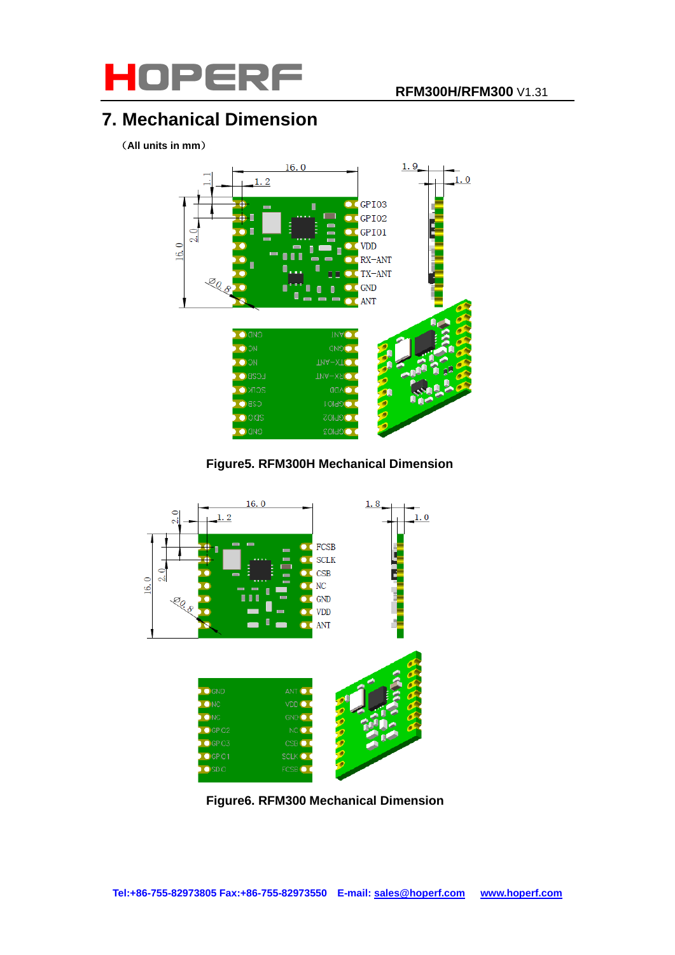

# **7. Mechanical Dimension**

(**All units in mm**)



**Figure5. RFM300H Mechanical Dimension**



**Figure6. RFM300 Mechanical Dimension**